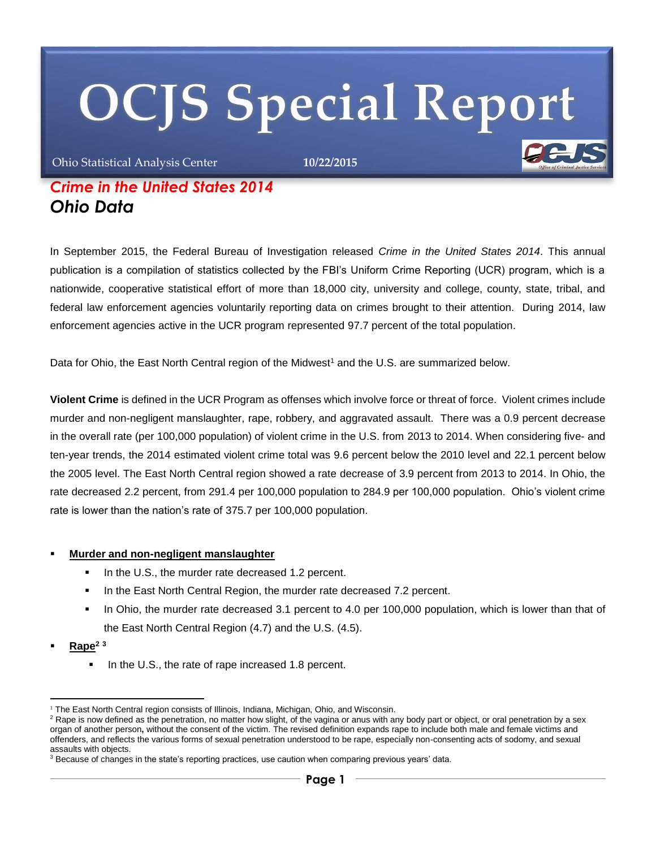# **OCJS Special Report**

Ohio Statistical Analysis Center **10/22/2015**

## *Crime in the United States 2014 Ohio Data*

In September 2015, the Federal Bureau of Investigation released *Crime in the United States 2014*. This annual publication is a compilation of statistics collected by the FBI's Uniform Crime Reporting (UCR) program, which is a nationwide, cooperative statistical effort of more than 18,000 city, university and college, county, state, tribal, and federal law enforcement agencies voluntarily reporting data on crimes brought to their attention. During 2014, law enforcement agencies active in the UCR program represented 97.7 percent of the total population.

Data for Ohio, the East North Central region of the Midwest<sup>1</sup> and the U.S. are summarized below.

**Violent Crime** is defined in the UCR Program as offenses which involve force or threat of force. Violent crimes include murder and non-negligent manslaughter, rape, robbery, and aggravated assault. There was a 0.9 percent decrease in the overall rate (per 100,000 population) of violent crime in the U.S. from 2013 to 2014. When considering five- and ten-year trends, the 2014 estimated violent crime total was 9.6 percent below the 2010 level and 22.1 percent below the 2005 level. The East North Central region showed a rate decrease of 3.9 percent from 2013 to 2014. In Ohio, the rate decreased 2.2 percent, from 291.4 per 100,000 population to 284.9 per 100,000 population. Ohio's violent crime rate is lower than the nation's rate of 375.7 per 100,000 population.

- **Murder and non-negligent manslaughter**
	- In the U.S., the murder rate decreased 1.2 percent.
	- In the East North Central Region, the murder rate decreased 7.2 percent.
	- In Ohio, the murder rate decreased 3.1 percent to 4.0 per 100,000 population, which is lower than that of the East North Central Region (4.7) and the U.S. (4.5).
- **Rape<sup>2</sup> <sup>3</sup>**
	- In the U.S., the rate of rape increased 1.8 percent.

 <sup>1</sup> The East North Central region consists of Illinois, Indiana, Michigan, Ohio, and Wisconsin.

<sup>&</sup>lt;sup>2</sup> Rape is now defined as the penetration, no matter how slight, of the vagina or anus with any body part or object, or oral penetration by a sex organ of another person**,** without the consent of the victim. The revised definition expands rape to include both male and female victims and offenders, and reflects the various forms of sexual penetration understood to be rape, especially non-consenting acts of sodomy, and sexual assaults with objects.

<sup>&</sup>lt;sup>3</sup> Because of changes in the state's reporting practices, use caution when comparing previous years' data.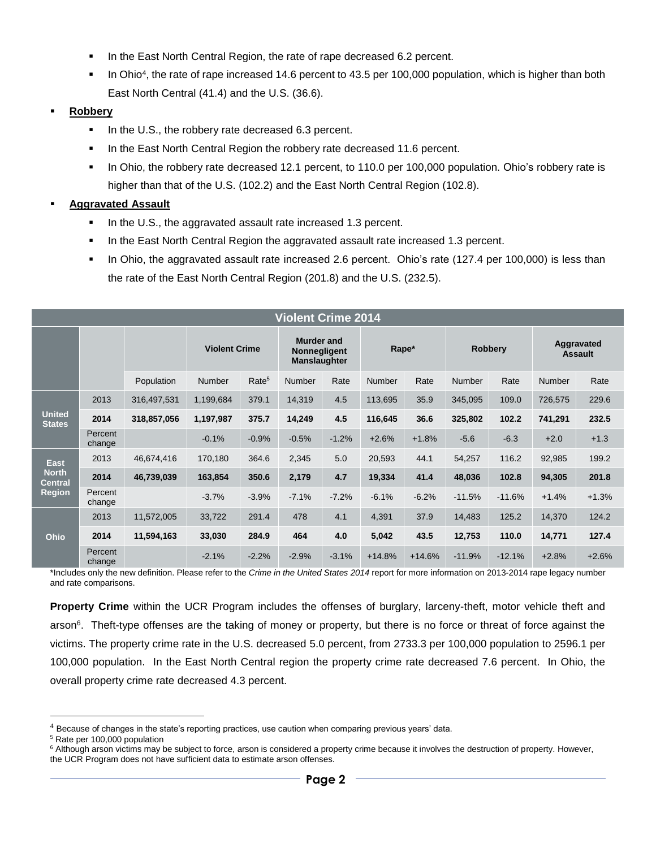- In the East North Central Region, the rate of rape decreased 6.2 percent.
- In Ohio<sup>4</sup>, the rate of rape increased 14.6 percent to 43.5 per 100,000 population, which is higher than both East North Central (41.4) and the U.S. (36.6).

#### **Robbery**

- In the U.S., the robbery rate decreased 6.3 percent.
- In the East North Central Region the robbery rate decreased 11.6 percent.
- In Ohio, the robbery rate decreased 12.1 percent, to 110.0 per 100,000 population. Ohio's robbery rate is higher than that of the U.S. (102.2) and the East North Central Region (102.8).

#### **Aggravated Assault**

- In the U.S., the aggravated assault rate increased 1.3 percent.
- In the East North Central Region the aggravated assault rate increased 1.3 percent.
- In Ohio, the aggravated assault rate increased 2.6 percent. Ohio's rate (127.4 per 100,000) is less than the rate of the East North Central Region (201.8) and the U.S. (232.5).

| <b>Violent Crime 2014</b>                                      |                   |             |                      |                   |                                                          |         |               |          |                |          |                              |         |
|----------------------------------------------------------------|-------------------|-------------|----------------------|-------------------|----------------------------------------------------------|---------|---------------|----------|----------------|----------|------------------------------|---------|
|                                                                |                   |             | <b>Violent Crime</b> |                   | <b>Murder and</b><br>Nonnegligent<br><b>Manslaughter</b> |         | Rape*         |          | <b>Robbery</b> |          | Aggravated<br><b>Assault</b> |         |
|                                                                |                   | Population  | <b>Number</b>        | Rate <sup>5</sup> | Number                                                   | Rate    | <b>Number</b> | Rate     | <b>Number</b>  | Rate     | <b>Number</b>                | Rate    |
| <b>United</b><br><b>States</b>                                 | 2013              | 316,497,531 | 1,199,684            | 379.1             | 14,319                                                   | 4.5     | 113,695       | 35.9     | 345,095        | 109.0    | 726,575                      | 229.6   |
|                                                                | 2014              | 318,857,056 | 1,197,987            | 375.7             | 14,249                                                   | 4.5     | 116,645       | 36.6     | 325,802        | 102.2    | 741,291                      | 232.5   |
|                                                                | Percent<br>change |             | $-0.1%$              | $-0.9%$           | $-0.5%$                                                  | $-1.2%$ | $+2.6%$       | $+1.8%$  | $-5.6$         | $-6.3$   | $+2.0$                       | $+1.3$  |
| <b>East</b><br><b>North</b><br><b>Central</b><br><b>Region</b> | 2013              | 46,674,416  | 170,180              | 364.6             | 2,345                                                    | 5.0     | 20,593        | 44.1     | 54,257         | 116.2    | 92,985                       | 199.2   |
|                                                                | 2014              | 46,739,039  | 163,854              | 350.6             | 2,179                                                    | 4.7     | 19,334        | 41.4     | 48,036         | 102.8    | 94,305                       | 201.8   |
|                                                                | Percent<br>change |             | $-3.7%$              | $-3.9%$           | $-7.1%$                                                  | $-7.2%$ | $-6.1%$       | $-6.2%$  | $-11.5%$       | $-11.6%$ | $+1.4%$                      | $+1.3%$ |
| Ohio                                                           | 2013              | 11,572,005  | 33,722               | 291.4             | 478                                                      | 4.1     | 4,391         | 37.9     | 14,483         | 125.2    | 14,370                       | 124.2   |
|                                                                | 2014              | 11,594,163  | 33,030               | 284.9             | 464                                                      | 4.0     | 5,042         | 43.5     | 12,753         | 110.0    | 14,771                       | 127.4   |
|                                                                | Percent<br>change |             | $-2.1%$              | $-2.2%$           | $-2.9%$                                                  | $-3.1%$ | $+14.8%$      | $+14.6%$ | $-11.9%$       | $-12.1%$ | $+2.8%$                      | $+2.6%$ |

\*Includes only the new definition. Please refer to the *Crime in the United States 2014* report for more information on 2013-2014 rape legacy number and rate comparisons.

**Property Crime** within the UCR Program includes the offenses of burglary, larceny-theft, motor vehicle theft and arson<sup>6</sup>. Theft-type offenses are the taking of money or property, but there is no force or threat of force against the victims. The property crime rate in the U.S. decreased 5.0 percent, from 2733.3 per 100,000 population to 2596.1 per 100,000 population. In the East North Central region the property crime rate decreased 7.6 percent. In Ohio, the overall property crime rate decreased 4.3 percent.

 $4$  Because of changes in the state's reporting practices, use caution when comparing previous years' data.

<sup>5</sup> Rate per 100,000 population

<sup>&</sup>lt;sup>6</sup> Although arson victims may be subject to force, arson is considered a property crime because it involves the destruction of property. However, the UCR Program does not have sufficient data to estimate arson offenses.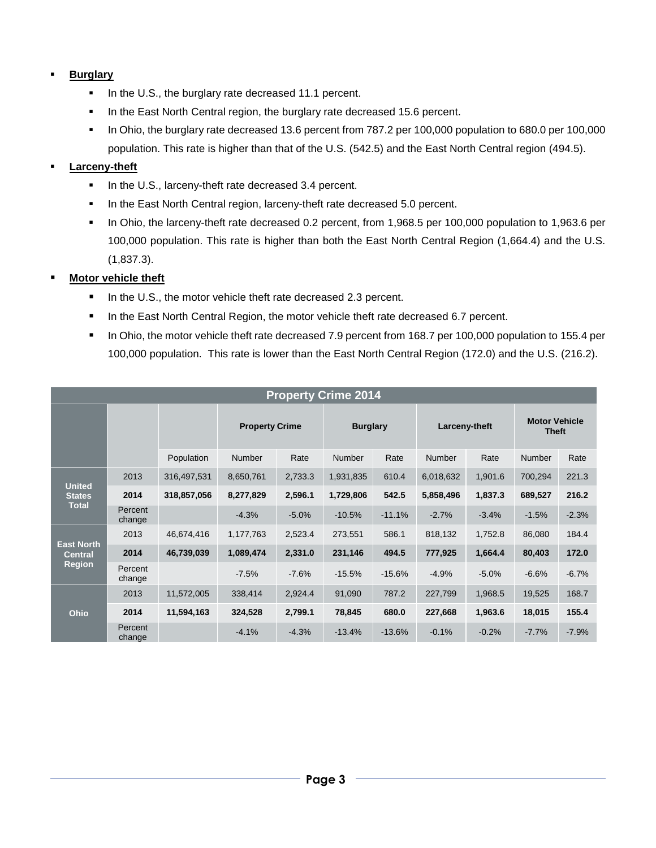### **Burglary**

- In the U.S., the burglary rate decreased 11.1 percent.
- In the East North Central region, the burglary rate decreased 15.6 percent.
- In Ohio, the burglary rate decreased 13.6 percent from 787.2 per 100,000 population to 680.0 per 100,000 population. This rate is higher than that of the U.S. (542.5) and the East North Central region (494.5).

### **Larceny-theft**

- In the U.S., larceny-theft rate decreased 3.4 percent.
- In the East North Central region, larceny-theft rate decreased 5.0 percent.
- In Ohio, the larceny-theft rate decreased 0.2 percent, from 1,968.5 per 100,000 population to 1,963.6 per 100,000 population. This rate is higher than both the East North Central Region (1,664.4) and the U.S. (1,837.3).

#### **Motor vehicle theft**

- In the U.S., the motor vehicle theft rate decreased 2.3 percent.
- In the East North Central Region, the motor vehicle theft rate decreased 6.7 percent.
- In Ohio, the motor vehicle theft rate decreased 7.9 percent from 168.7 per 100,000 population to 155.4 per 100,000 population. This rate is lower than the East North Central Region (172.0) and the U.S. (216.2).

| <b>Property Crime 2014</b>                           |                   |             |                       |         |                 |          |               |         |                                      |         |
|------------------------------------------------------|-------------------|-------------|-----------------------|---------|-----------------|----------|---------------|---------|--------------------------------------|---------|
|                                                      |                   |             | <b>Property Crime</b> |         | <b>Burglary</b> |          | Larceny-theft |         | <b>Motor Vehicle</b><br><b>Theft</b> |         |
|                                                      |                   | Population  | <b>Number</b>         | Rate    | <b>Number</b>   | Rate     | <b>Number</b> | Rate    | <b>Number</b>                        | Rate    |
| <b>United</b><br><b>States</b><br><b>Total</b>       | 2013              | 316,497,531 | 8,650,761             | 2,733.3 | 1,931,835       | 610.4    | 6,018,632     | 1,901.6 | 700,294                              | 221.3   |
|                                                      | 2014              | 318,857,056 | 8,277,829             | 2,596.1 | 1,729,806       | 542.5    | 5,858,496     | 1,837.3 | 689,527                              | 216.2   |
|                                                      | Percent<br>change |             | $-4.3%$               | $-5.0%$ | $-10.5%$        | $-11.1%$ | $-2.7%$       | $-3.4%$ | $-1.5%$                              | $-2.3%$ |
| <b>East North</b><br><b>Central</b><br><b>Region</b> | 2013              | 46,674,416  | 1,177,763             | 2,523.4 | 273,551         | 586.1    | 818,132       | 1,752.8 | 86,080                               | 184.4   |
|                                                      | 2014              | 46,739,039  | 1,089,474             | 2,331.0 | 231,146         | 494.5    | 777,925       | 1,664.4 | 80,403                               | 172.0   |
|                                                      | Percent<br>change |             | $-7.5%$               | $-7.6%$ | $-15.5%$        | $-15.6%$ | $-4.9%$       | $-5.0%$ | $-6.6%$                              | $-6.7%$ |
| Ohio                                                 | 2013              | 11,572,005  | 338,414               | 2,924.4 | 91,090          | 787.2    | 227,799       | 1,968.5 | 19,525                               | 168.7   |
|                                                      | 2014              | 11,594,163  | 324,528               | 2,799.1 | 78,845          | 680.0    | 227,668       | 1,963.6 | 18,015                               | 155.4   |
|                                                      | Percent<br>change |             | $-4.1%$               | $-4.3%$ | $-13.4%$        | $-13.6%$ | $-0.1%$       | $-0.2%$ | $-7.7%$                              | $-7.9%$ |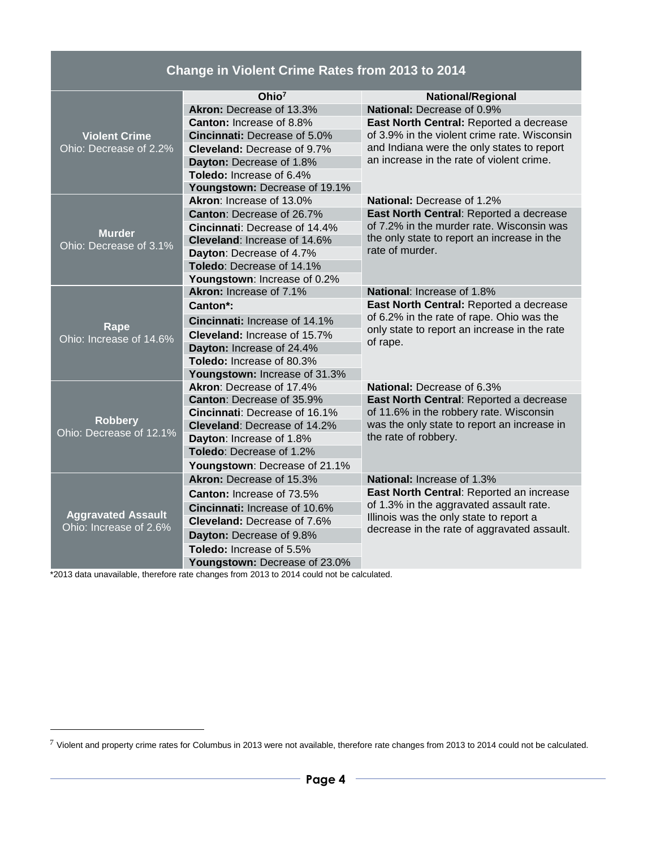| <b>Change in Violent Crime Rates from 2013 to 2014</b> |                                                                                    |                                                                                                                                                                               |  |  |  |  |  |
|--------------------------------------------------------|------------------------------------------------------------------------------------|-------------------------------------------------------------------------------------------------------------------------------------------------------------------------------|--|--|--|--|--|
|                                                        | Ohio <sup>7</sup>                                                                  | <b>National/Regional</b>                                                                                                                                                      |  |  |  |  |  |
|                                                        | Akron: Decrease of 13.3%                                                           | National: Decrease of 0.9%                                                                                                                                                    |  |  |  |  |  |
|                                                        | Canton: Increase of 8.8%                                                           | East North Central: Reported a decrease                                                                                                                                       |  |  |  |  |  |
| <b>Violent Crime</b>                                   | Cincinnati: Decrease of 5.0%                                                       | of 3.9% in the violent crime rate. Wisconsin                                                                                                                                  |  |  |  |  |  |
| Ohio: Decrease of 2.2%                                 | <b>Cleveland: Decrease of 9.7%</b>                                                 | and Indiana were the only states to report                                                                                                                                    |  |  |  |  |  |
|                                                        | Dayton: Decrease of 1.8%                                                           | an increase in the rate of violent crime.                                                                                                                                     |  |  |  |  |  |
|                                                        | Toledo: Increase of 6.4%                                                           |                                                                                                                                                                               |  |  |  |  |  |
|                                                        | Youngstown: Decrease of 19.1%                                                      |                                                                                                                                                                               |  |  |  |  |  |
|                                                        | Akron: Increase of 13.0%                                                           | National: Decrease of 1.2%                                                                                                                                                    |  |  |  |  |  |
|                                                        | <b>Canton: Decrease of 26.7%</b>                                                   | East North Central: Reported a decrease                                                                                                                                       |  |  |  |  |  |
| <b>Murder</b>                                          | Cincinnati: Decrease of 14.4%                                                      | of 7.2% in the murder rate. Wisconsin was                                                                                                                                     |  |  |  |  |  |
| Ohio: Decrease of 3.1%                                 | the only state to report an increase in the<br><b>Cleveland: Increase of 14.6%</b> |                                                                                                                                                                               |  |  |  |  |  |
|                                                        | Dayton: Decrease of 4.7%                                                           | rate of murder.                                                                                                                                                               |  |  |  |  |  |
|                                                        | Toledo: Decrease of 14.1%                                                          |                                                                                                                                                                               |  |  |  |  |  |
|                                                        | Youngstown: Increase of 0.2%                                                       |                                                                                                                                                                               |  |  |  |  |  |
|                                                        | Akron: Increase of 7.1%                                                            | National: Increase of 1.8%<br>East North Central: Reported a decrease                                                                                                         |  |  |  |  |  |
|                                                        | Canton*:                                                                           |                                                                                                                                                                               |  |  |  |  |  |
| Rape                                                   | Cincinnati: Increase of 14.1%                                                      | of 6.2% in the rate of rape. Ohio was the<br>only state to report an increase in the rate                                                                                     |  |  |  |  |  |
| Ohio: Increase of 14.6%                                | <b>Cleveland: Increase of 15.7%</b><br>of rape.                                    |                                                                                                                                                                               |  |  |  |  |  |
|                                                        | Dayton: Increase of 24.4%                                                          |                                                                                                                                                                               |  |  |  |  |  |
|                                                        | Toledo: Increase of 80.3%                                                          |                                                                                                                                                                               |  |  |  |  |  |
|                                                        | Youngstown: Increase of 31.3%                                                      |                                                                                                                                                                               |  |  |  |  |  |
|                                                        | Akron: Decrease of 17.4%                                                           | National: Decrease of 6.3%                                                                                                                                                    |  |  |  |  |  |
|                                                        | <b>Canton: Decrease of 35.9%</b>                                                   | East North Central: Reported a decrease                                                                                                                                       |  |  |  |  |  |
| <b>Robbery</b>                                         | Cincinnati: Decrease of 16.1%                                                      | of 11.6% in the robbery rate. Wisconsin<br>was the only state to report an increase in<br>the rate of robbery.                                                                |  |  |  |  |  |
| Ohio: Decrease of 12.1%                                | Cleveland: Decrease of 14.2%                                                       |                                                                                                                                                                               |  |  |  |  |  |
|                                                        | Dayton: Increase of 1.8%                                                           |                                                                                                                                                                               |  |  |  |  |  |
|                                                        | Toledo: Decrease of 1.2%                                                           |                                                                                                                                                                               |  |  |  |  |  |
|                                                        | Youngstown: Decrease of 21.1%                                                      |                                                                                                                                                                               |  |  |  |  |  |
|                                                        | Akron: Decrease of 15.3%                                                           | National: Increase of 1.3%                                                                                                                                                    |  |  |  |  |  |
|                                                        | <b>Canton:</b> Increase of 73.5%                                                   | East North Central: Reported an increase<br>of 1.3% in the aggravated assault rate.<br>Illinois was the only state to report a<br>decrease in the rate of aggravated assault. |  |  |  |  |  |
|                                                        | Cincinnati: Increase of 10.6%                                                      |                                                                                                                                                                               |  |  |  |  |  |
| <b>Aggravated Assault</b><br>Ohio: Increase of 2.6%    | <b>Cleveland: Decrease of 7.6%</b>                                                 |                                                                                                                                                                               |  |  |  |  |  |
|                                                        | Dayton: Decrease of 9.8%                                                           |                                                                                                                                                                               |  |  |  |  |  |
|                                                        | Toledo: Increase of 5.5%                                                           |                                                                                                                                                                               |  |  |  |  |  |
|                                                        | Youngstown: Decrease of 23.0%                                                      |                                                                                                                                                                               |  |  |  |  |  |

\*2013 data unavailable, therefore rate changes from 2013 to 2014 could not be calculated.

-

 $7$  Violent and property crime rates for Columbus in 2013 were not available, therefore rate changes from 2013 to 2014 could not be calculated.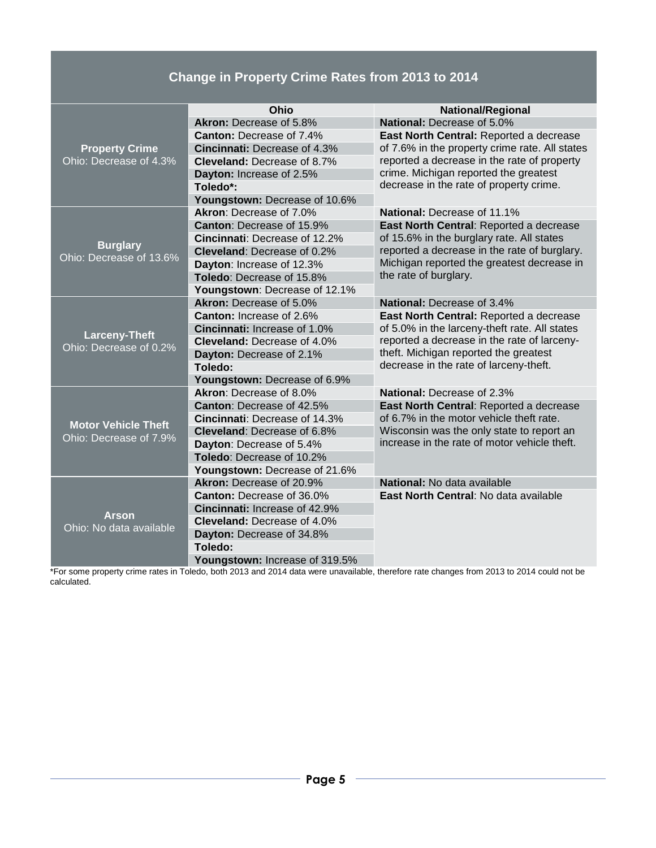## **Change in Property Crime Rates from 2013 to 2014**

|                            | Ohio                                 | <b>National/Regional</b>                       |  |  |
|----------------------------|--------------------------------------|------------------------------------------------|--|--|
|                            | Akron: Decrease of 5.8%              | <b>National: Decrease of 5.0%</b>              |  |  |
|                            | <b>Canton: Decrease of 7.4%</b>      | East North Central: Reported a decrease        |  |  |
| <b>Property Crime</b>      | <b>Cincinnati:</b> Decrease of 4.3%  | of 7.6% in the property crime rate. All states |  |  |
| Ohio: Decrease of 4.3%     | <b>Cleveland: Decrease of 8.7%</b>   | reported a decrease in the rate of property    |  |  |
|                            | Dayton: Increase of 2.5%             | crime. Michigan reported the greatest          |  |  |
|                            | Toledo*:                             | decrease in the rate of property crime.        |  |  |
|                            | Youngstown: Decrease of 10.6%        |                                                |  |  |
|                            | Akron: Decrease of 7.0%              | National: Decrease of 11.1%                    |  |  |
|                            | <b>Canton: Decrease of 15.9%</b>     | East North Central: Reported a decrease        |  |  |
|                            | <b>Cincinnati: Decrease of 12.2%</b> | of 15.6% in the burglary rate. All states      |  |  |
| <b>Burglary</b>            | <b>Cleveland: Decrease of 0.2%</b>   | reported a decrease in the rate of burglary.   |  |  |
| Ohio: Decrease of 13.6%    | Dayton: Increase of 12.3%            | Michigan reported the greatest decrease in     |  |  |
|                            | Toledo: Decrease of 15.8%            | the rate of burglary.                          |  |  |
|                            | Youngstown: Decrease of 12.1%        |                                                |  |  |
|                            | Akron: Decrease of 5.0%              | <b>National:</b> Decrease of 3.4%              |  |  |
|                            | <b>Canton: Increase of 2.6%</b>      | East North Central: Reported a decrease        |  |  |
|                            | <b>Cincinnati:</b> Increase of 1.0%  | of 5.0% in the larceny-theft rate. All states  |  |  |
| <b>Larceny-Theft</b>       | <b>Cleveland: Decrease of 4.0%</b>   | reported a decrease in the rate of larceny-    |  |  |
| Ohio: Decrease of 0.2%     | Dayton: Decrease of 2.1%             | theft. Michigan reported the greatest          |  |  |
|                            | Toledo:                              | decrease in the rate of larceny-theft.         |  |  |
|                            | Youngstown: Decrease of 6.9%         |                                                |  |  |
|                            | Akron: Decrease of 8.0%              | <b>National: Decrease of 2.3%</b>              |  |  |
|                            | <b>Canton: Decrease of 42.5%</b>     | East North Central: Reported a decrease        |  |  |
|                            | <b>Cincinnati: Decrease of 14.3%</b> | of 6.7% in the motor vehicle theft rate.       |  |  |
| <b>Motor Vehicle Theft</b> | <b>Cleveland: Decrease of 6.8%</b>   | Wisconsin was the only state to report an      |  |  |
| Ohio: Decrease of 7.9%     | Dayton: Decrease of 5.4%             | increase in the rate of motor vehicle theft.   |  |  |
|                            | Toledo: Decrease of 10.2%            |                                                |  |  |
|                            | Youngstown: Decrease of 21.6%        |                                                |  |  |
|                            | Akron: Decrease of 20.9%             | National: No data available                    |  |  |
|                            | <b>Canton: Decrease of 36.0%</b>     | East North Central: No data available          |  |  |
|                            | Cincinnati: Increase of 42.9%        |                                                |  |  |
| Arson                      | Cleveland: Decrease of 4.0%          |                                                |  |  |
| Ohio: No data available    | Dayton: Decrease of 34.8%            |                                                |  |  |
|                            | Toledo:                              |                                                |  |  |
|                            | Youngstown: Increase of 319.5%       |                                                |  |  |

\*For some property crime rates in Toledo, both 2013 and 2014 data were unavailable, therefore rate changes from 2013 to 2014 could not be calculated.